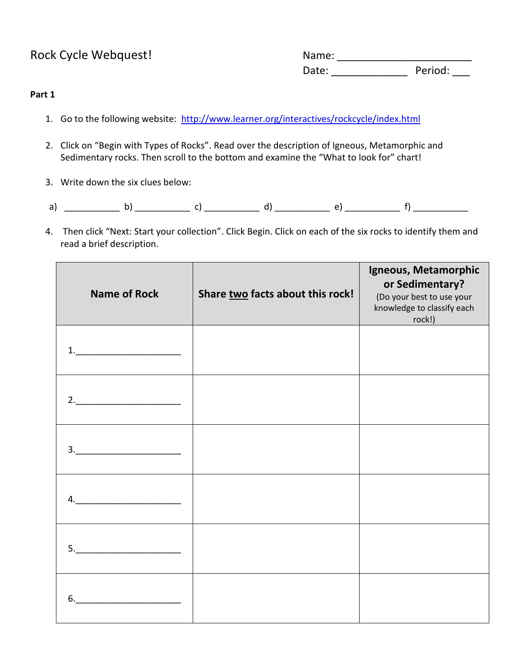Rock Cycle Webquest!  $\begin{picture}(180,170)(0,0) \put(0,0){\line(1,0){150}} \put(0,0){\line(1,0){150}} \put(0,0){\line(1,0){150}} \put(0,0){\line(1,0){150}} \put(0,0){\line(1,0){150}} \put(0,0){\line(1,0){150}} \put(0,0){\line(1,0){150}} \put(0,0){\line(1,0){150}} \put(0,0){\line(1,0){150}} \put(0,0){\line(1,0){150}} \put($ Date: \_\_\_\_\_\_\_\_\_\_\_\_\_ Period: \_\_\_

#### **Part 1**

- 1. Go to the following website: <http://www.learner.org/interactives/rockcycle/index.html>
- 2. Click on "Begin with Types of Rocks". Read over the description of Igneous, Metamorphic and Sedimentary rocks. Then scroll to the bottom and examine the "What to look for" chart!
- 3. Write down the six clues below:
- a) \_\_\_\_\_\_\_\_\_\_\_ b) \_\_\_\_\_\_\_\_\_\_\_ c) \_\_\_\_\_\_\_\_\_\_\_ d) \_\_\_\_\_\_\_\_\_\_\_ e) \_\_\_\_\_\_\_\_\_\_\_ f) \_\_\_\_\_\_\_\_\_\_\_
- 4. Then click "Next: Start your collection". Click Begin. Click on each of the six rocks to identify them and read a brief description.

| <b>Name of Rock</b>                                                              | Share two facts about this rock! | Igneous, Metamorphic<br>or Sedimentary?<br>(Do your best to use your<br>knowledge to classify each<br>rock!) |
|----------------------------------------------------------------------------------|----------------------------------|--------------------------------------------------------------------------------------------------------------|
| $\begin{array}{c} \n 1. \quad \textcolor{red}{\overline{\text{}}}\n \end{array}$ |                                  |                                                                                                              |
|                                                                                  |                                  |                                                                                                              |
|                                                                                  |                                  |                                                                                                              |
|                                                                                  |                                  |                                                                                                              |
| $5. \underline{\hspace{2cm}}$                                                    |                                  |                                                                                                              |
| $6. \underline{\hspace{2cm}}$                                                    |                                  |                                                                                                              |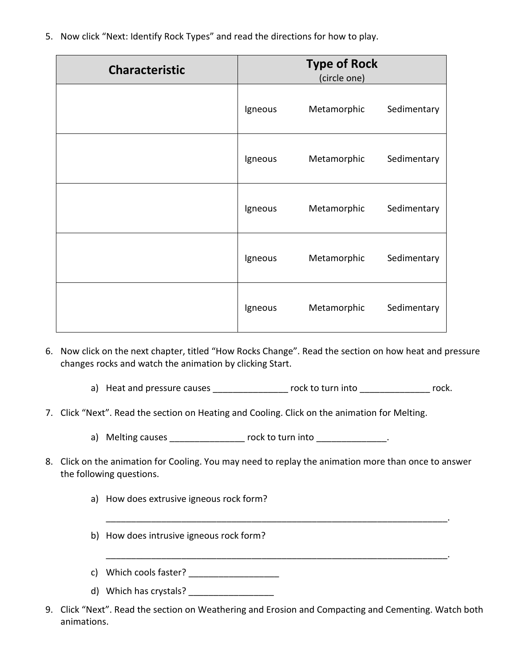5. Now click "Next: Identify Rock Types" and read the directions for how to play.

| <b>Characteristic</b> |         | <b>Type of Rock</b><br>(circle one) |             |
|-----------------------|---------|-------------------------------------|-------------|
|                       | Igneous | Metamorphic                         | Sedimentary |
|                       | Igneous | Metamorphic                         | Sedimentary |
|                       | Igneous | Metamorphic                         | Sedimentary |
|                       | Igneous | Metamorphic                         | Sedimentary |
|                       | Igneous | Metamorphic                         | Sedimentary |

- 6. Now click on the next chapter, titled "How Rocks Change". Read the section on how heat and pressure changes rocks and watch the animation by clicking Start.
	- a) Heat and pressure causes extending the rock to turn into the rock rock.
- 7. Click "Next". Read the section on Heating and Cooling. Click on the animation for Melting.
	- a) Melting causes \_\_\_\_\_\_\_\_\_\_\_\_\_\_\_\_ rock to turn into \_\_\_\_\_\_\_\_\_\_\_\_\_\_\_.
- 8. Click on the animation for Cooling. You may need to replay the animation more than once to answer the following questions.

\_\_\_\_\_\_\_\_\_\_\_\_\_\_\_\_\_\_\_\_\_\_\_\_\_\_\_\_\_\_\_\_\_\_\_\_\_\_\_\_\_\_\_\_\_\_\_\_\_\_\_\_\_\_\_\_\_\_\_\_\_\_\_\_\_\_\_\_.

- a) How does extrusive igneous rock form?
- b) How does intrusive igneous rock form?
- c) Which cools faster?
- d) Which has crystals? \_\_\_\_\_\_\_\_\_\_\_\_\_\_\_\_\_
- 9. Click "Next". Read the section on Weathering and Erosion and Compacting and Cementing. Watch both animations.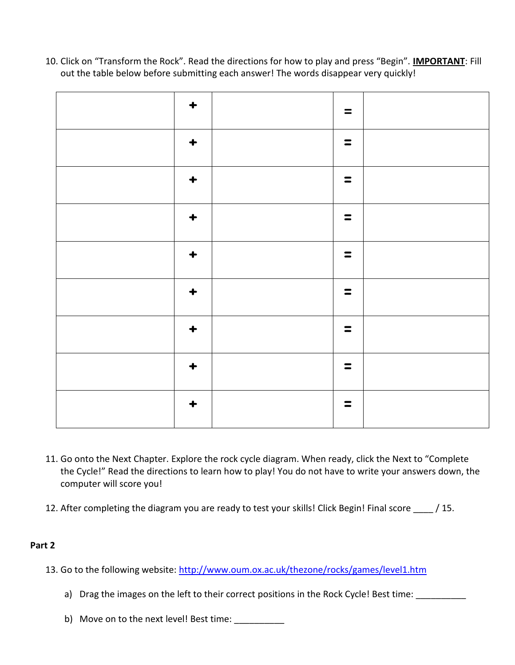10. Click on "Transform the Rock". Read the directions for how to play and press "Begin". **IMPORTANT**: Fill out the table below before submitting each answer! The words disappear very quickly!

| $\ddot{\bullet}$     | $\equiv$       |  |
|----------------------|----------------|--|
| $\div$               | $\equiv$       |  |
| $\ddot{\phantom{1}}$ | $\blacksquare$ |  |
| $\ddot{\phantom{1}}$ | $\equiv$       |  |
| $\ddot{\phantom{1}}$ | $\equiv$       |  |
| $\ddot{\phantom{1}}$ | $\equiv$       |  |
| $\div$               | $\equiv$       |  |
| $\ddotmark$          | $\equiv$       |  |
| $\ddot{\bullet}$     | $\equiv$       |  |

- 11. Go onto the Next Chapter. Explore the rock cycle diagram. When ready, click the Next to "Complete the Cycle!" Read the directions to learn how to play! You do not have to write your answers down, the computer will score you!
- 12. After completing the diagram you are ready to test your skills! Click Begin! Final score 15.

## **Part 2**

- 13. Go to the following website:<http://www.oum.ox.ac.uk/thezone/rocks/games/level1.htm>
	- a) Drag the images on the left to their correct positions in the Rock Cycle! Best time: \_\_\_\_\_\_\_\_\_\_\_
	- b) Move on to the next level! Best time: